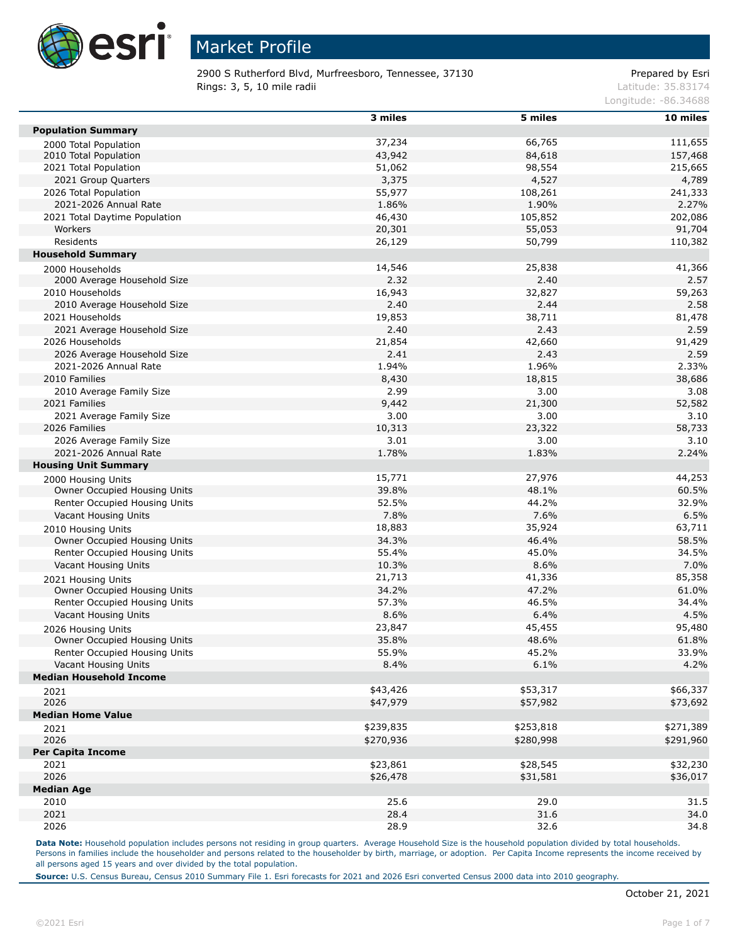

2900 S Rutherford Blvd, Murfreesboro, Tennessee, 37130 Prepared by Esri **Rings: 3, 5, 10 mile radii** Latitude: 35.83174

Longitude: -86.34688

|                                                    | 3 miles   | 5 miles      | 10 miles  |
|----------------------------------------------------|-----------|--------------|-----------|
| <b>Population Summary</b>                          |           |              |           |
| 2000 Total Population                              | 37,234    | 66,765       | 111,655   |
| 2010 Total Population                              | 43,942    | 84,618       | 157,468   |
| 2021 Total Population                              | 51,062    | 98,554       | 215,665   |
| 2021 Group Quarters                                | 3,375     | 4,527        | 4,789     |
| 2026 Total Population                              | 55,977    | 108,261      | 241,333   |
| 2021-2026 Annual Rate                              | 1.86%     | 1.90%        | 2.27%     |
| 2021 Total Daytime Population                      | 46,430    | 105,852      | 202,086   |
| Workers                                            | 20,301    | 55,053       | 91,704    |
| Residents                                          | 26,129    | 50,799       | 110,382   |
| <b>Household Summary</b>                           |           |              |           |
| 2000 Households                                    | 14,546    | 25,838       | 41,366    |
| 2000 Average Household Size                        | 2.32      | 2.40         | 2.57      |
| 2010 Households                                    | 16,943    | 32,827       | 59,263    |
| 2010 Average Household Size                        | 2.40      | 2.44         | 2.58      |
| 2021 Households                                    | 19,853    | 38,711       | 81,478    |
| 2021 Average Household Size                        | 2.40      | 2.43         | 2.59      |
| 2026 Households                                    | 21,854    | 42,660       | 91,429    |
| 2026 Average Household Size                        | 2.41      | 2.43         | 2.59      |
| 2021-2026 Annual Rate                              | 1.94%     | 1.96%        | 2.33%     |
| 2010 Families                                      | 8,430     | 18,815       | 38,686    |
| 2010 Average Family Size                           | 2.99      | 3.00         | 3.08      |
| 2021 Families                                      | 9,442     | 21,300       | 52,582    |
| 2021 Average Family Size                           | 3.00      | 3.00         | 3.10      |
| 2026 Families                                      | 10,313    | 23,322       | 58,733    |
| 2026 Average Family Size                           | 3.01      | 3.00         | 3.10      |
| 2021-2026 Annual Rate                              | 1.78%     | 1.83%        | 2.24%     |
| <b>Housing Unit Summary</b>                        |           |              |           |
| 2000 Housing Units                                 | 15,771    | 27,976       | 44,253    |
| Owner Occupied Housing Units                       | 39.8%     | 48.1%        | 60.5%     |
| Renter Occupied Housing Units                      | 52.5%     | 44.2%        | 32.9%     |
| Vacant Housing Units                               | 7.8%      | 7.6%         | 6.5%      |
| 2010 Housing Units                                 | 18,883    | 35,924       | 63,711    |
| Owner Occupied Housing Units                       | 34.3%     | 46.4%        | 58.5%     |
| Renter Occupied Housing Units                      | 55.4%     | 45.0%        | 34.5%     |
| Vacant Housing Units                               | 10.3%     | 8.6%         | 7.0%      |
| 2021 Housing Units                                 | 21,713    | 41,336       | 85,358    |
| Owner Occupied Housing Units                       | 34.2%     | 47.2%        | 61.0%     |
| Renter Occupied Housing Units                      | 57.3%     | 46.5%        | 34.4%     |
| Vacant Housing Units                               | 8.6%      | 6.4%         | 4.5%      |
|                                                    | 23,847    | 45,455       | 95,480    |
| 2026 Housing Units<br>Owner Occupied Housing Units | 35.8%     | 48.6%        | 61.8%     |
| Renter Occupied Housing Units                      | 55.9%     | 45.2%        | 33.9%     |
| Vacant Housing Units                               | 8.4%      | 6.1%         | 4.2%      |
| <b>Median Household Income</b>                     |           |              |           |
|                                                    | \$43,426  | \$53,317     | \$66,337  |
| 2021<br>2026                                       | \$47,979  | \$57,982     | \$73,692  |
| <b>Median Home Value</b>                           |           |              |           |
|                                                    | \$239,835 | \$253,818    | \$271,389 |
| 2021                                               |           |              |           |
| 2026<br><b>Per Capita Income</b>                   | \$270,936 | \$280,998    | \$291,960 |
| 2021                                               | \$23,861  | \$28,545     | \$32,230  |
| 2026                                               |           |              | \$36,017  |
| <b>Median Age</b>                                  | \$26,478  | \$31,581     |           |
|                                                    | 25.6      |              | 31.5      |
| 2010<br>2021                                       | 28.4      | 29.0<br>31.6 | 34.0      |
| 2026                                               | 28.9      | 32.6         |           |
|                                                    |           |              | 34.8      |

Data Note: Household population includes persons not residing in group quarters. Average Household Size is the household population divided by total households. Persons in families include the householder and persons related to the householder by birth, marriage, or adoption. Per Capita Income represents the income received by all persons aged 15 years and over divided by the total population.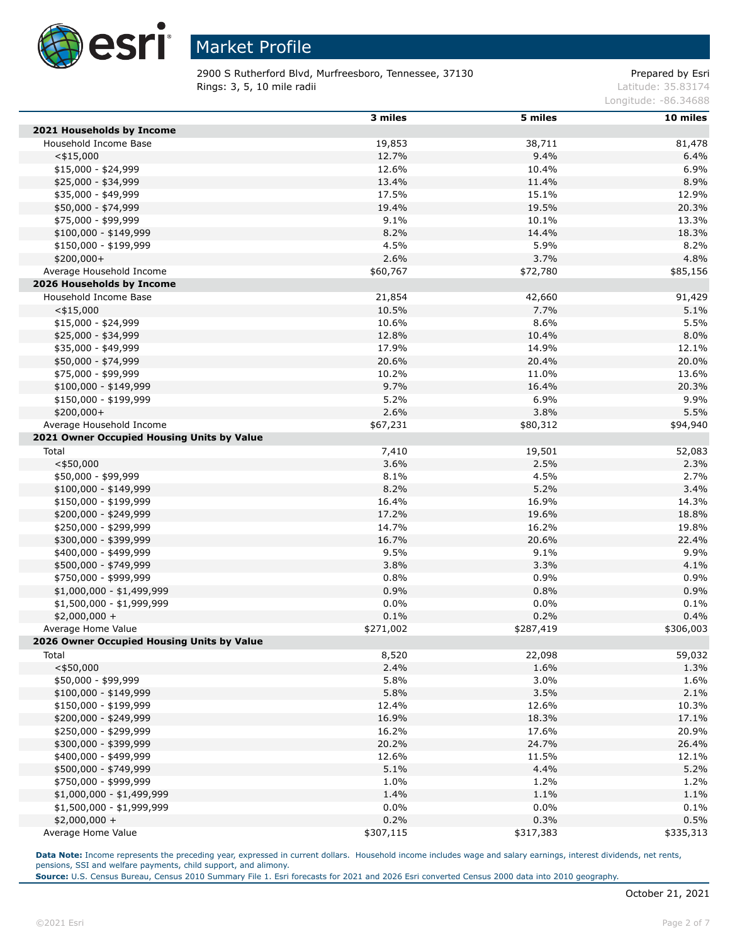

2900 S Rutherford Blvd, Murfreesboro, Tennessee, 37130 Prepared by Esri **Rings: 3, 5, 10 mile radii** Latitude: 35.83174

Longitude: -86.34688

|                                            | 3 miles   | 5 miles   | 10 miles  |
|--------------------------------------------|-----------|-----------|-----------|
| 2021 Households by Income                  |           |           |           |
| Household Income Base                      | 19,853    | 38,711    | 81,478    |
| $<$ \$15,000                               | 12.7%     | 9.4%      | 6.4%      |
| $$15,000 - $24,999$                        | 12.6%     | 10.4%     | 6.9%      |
| \$25,000 - \$34,999                        | 13.4%     | 11.4%     | 8.9%      |
| \$35,000 - \$49,999                        | 17.5%     | 15.1%     | 12.9%     |
| \$50,000 - \$74,999                        | 19.4%     | 19.5%     | 20.3%     |
| \$75,000 - \$99,999                        | 9.1%      | 10.1%     | 13.3%     |
| $$100,000 - $149,999$                      | 8.2%      | 14.4%     | 18.3%     |
| \$150,000 - \$199,999                      | 4.5%      | 5.9%      | 8.2%      |
| $$200,000+$                                | 2.6%      | 3.7%      | 4.8%      |
| Average Household Income                   | \$60,767  | \$72,780  | \$85,156  |
| 2026 Households by Income                  |           |           |           |
| Household Income Base                      | 21,854    | 42,660    | 91,429    |
| $<$ \$15,000                               | 10.5%     | 7.7%      | 5.1%      |
| $$15,000 - $24,999$                        | 10.6%     | 8.6%      | 5.5%      |
| \$25,000 - \$34,999                        | 12.8%     | 10.4%     | 8.0%      |
| \$35,000 - \$49,999                        | 17.9%     | 14.9%     | 12.1%     |
| \$50,000 - \$74,999                        | 20.6%     | 20.4%     | 20.0%     |
| \$75,000 - \$99,999                        | 10.2%     | 11.0%     | 13.6%     |
| $$100,000 - $149,999$                      | 9.7%      | 16.4%     | 20.3%     |
| \$150,000 - \$199,999                      | 5.2%      | 6.9%      | 9.9%      |
| $$200,000+$                                | 2.6%      | 3.8%      | 5.5%      |
| Average Household Income                   | \$67,231  | \$80,312  | \$94,940  |
| 2021 Owner Occupied Housing Units by Value |           |           |           |
| Total                                      | 7,410     | 19,501    | 52,083    |
| $<$ \$50,000                               | 3.6%      | 2.5%      | 2.3%      |
| \$50,000 - \$99,999                        | 8.1%      | 4.5%      | 2.7%      |
| $$100,000 - $149,999$                      | 8.2%      | 5.2%      | 3.4%      |
| \$150,000 - \$199,999                      | 16.4%     | 16.9%     | 14.3%     |
| \$200,000 - \$249,999                      | 17.2%     | 19.6%     | 18.8%     |
| \$250,000 - \$299,999                      | 14.7%     | 16.2%     | 19.8%     |
| \$300,000 - \$399,999                      | 16.7%     | 20.6%     | 22.4%     |
| \$400,000 - \$499,999                      | 9.5%      | 9.1%      | 9.9%      |
| \$500,000 - \$749,999                      | 3.8%      | 3.3%      | 4.1%      |
| \$750,000 - \$999,999                      | 0.8%      | 0.9%      | 0.9%      |
| \$1,000,000 - \$1,499,999                  | 0.9%      | 0.8%      | 0.9%      |
| \$1,500,000 - \$1,999,999                  | 0.0%      | 0.0%      | 0.1%      |
| $$2,000,000 +$                             | 0.1%      | 0.2%      | 0.4%      |
| Average Home Value                         | \$271,002 | \$287,419 | \$306,003 |
| 2026 Owner Occupied Housing Units by Value |           |           |           |
| Total                                      | 8,520     | 22,098    | 59,032    |
| $<$ \$50,000                               | 2.4%      | 1.6%      | 1.3%      |
| \$50,000 - \$99,999                        | 5.8%      | 3.0%      | 1.6%      |
| $$100,000 - $149,999$                      | 5.8%      | 3.5%      | 2.1%      |
| \$150,000 - \$199,999                      | 12.4%     | 12.6%     | 10.3%     |
| \$200,000 - \$249,999                      | 16.9%     | 18.3%     | 17.1%     |
| \$250,000 - \$299,999                      | 16.2%     | 17.6%     | 20.9%     |
| \$300,000 - \$399,999                      | 20.2%     | 24.7%     | 26.4%     |
| \$400,000 - \$499,999                      | 12.6%     | 11.5%     | 12.1%     |
| \$500,000 - \$749,999                      | 5.1%      | 4.4%      | 5.2%      |
| \$750,000 - \$999,999                      | 1.0%      | 1.2%      | 1.2%      |
| \$1,000,000 - \$1,499,999                  | 1.4%      | 1.1%      | 1.1%      |
| \$1,500,000 - \$1,999,999                  | 0.0%      | $0.0\%$   | 0.1%      |
| $$2,000,000 +$                             | 0.2%      | 0.3%      | 0.5%      |
| Average Home Value                         | \$307,115 | \$317,383 | \$335,313 |

Data Note: Income represents the preceding year, expressed in current dollars. Household income includes wage and salary earnings, interest dividends, net rents, pensions, SSI and welfare payments, child support, and alimony.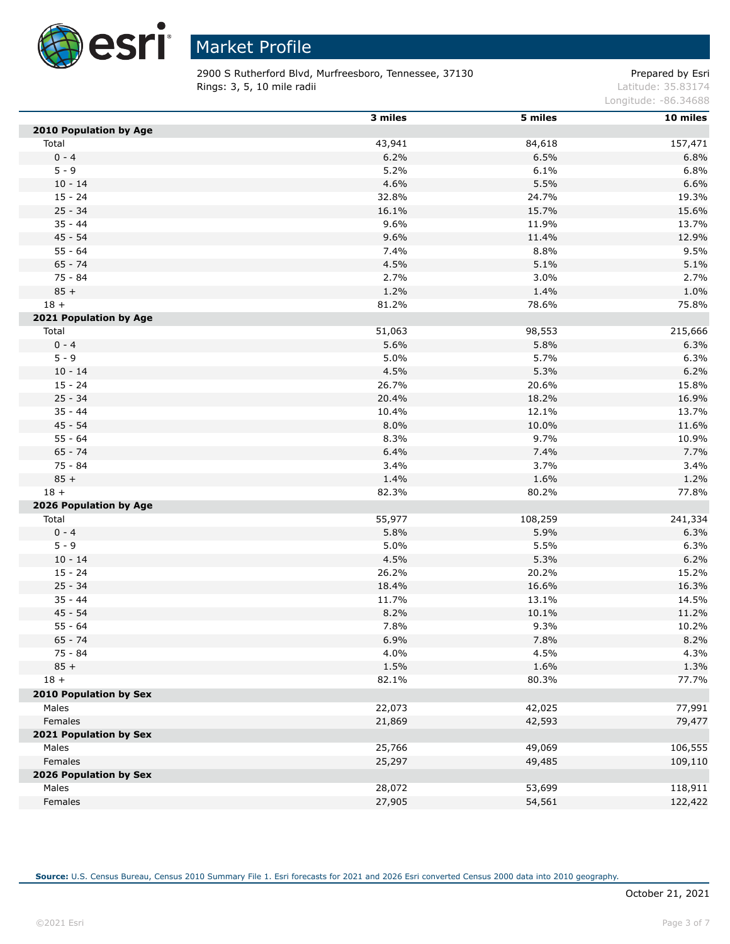

2900 S Rutherford Blvd, Murfreesboro, Tennessee, 37130 Prepared by Esri **Rings: 3, 5, 10 mile radii** Latitude: 35.83174

Longitude: -86.34688

|                        | 3 miles | 5 miles | 10 miles |
|------------------------|---------|---------|----------|
| 2010 Population by Age |         |         |          |
| Total                  | 43,941  | 84,618  | 157,471  |
| $0 - 4$                | 6.2%    | 6.5%    | 6.8%     |
| $5 - 9$                | 5.2%    | 6.1%    | 6.8%     |
| $10 - 14$              | 4.6%    | 5.5%    | 6.6%     |
| $15 - 24$              | 32.8%   | 24.7%   | 19.3%    |
| $25 - 34$              | 16.1%   | 15.7%   | 15.6%    |
| $35 - 44$              | 9.6%    | 11.9%   | 13.7%    |
| $45 - 54$              | 9.6%    | 11.4%   | 12.9%    |
| $55 - 64$              | 7.4%    | 8.8%    | 9.5%     |
| $65 - 74$              | 4.5%    | 5.1%    | 5.1%     |
| 75 - 84                | 2.7%    | 3.0%    | 2.7%     |
| $85 +$                 | 1.2%    | 1.4%    | 1.0%     |
| $18 +$                 | 81.2%   | 78.6%   | 75.8%    |
| 2021 Population by Age |         |         |          |
| Total                  | 51,063  | 98,553  | 215,666  |
| $0 - 4$                | 5.6%    | 5.8%    | 6.3%     |
| $5 - 9$                | 5.0%    | 5.7%    | 6.3%     |
| $10 - 14$              | 4.5%    | 5.3%    | 6.2%     |
| $15 - 24$              | 26.7%   | 20.6%   | 15.8%    |
| $25 - 34$              | 20.4%   | 18.2%   | 16.9%    |
| $35 - 44$              | 10.4%   | 12.1%   | 13.7%    |
| $45 - 54$              | 8.0%    | 10.0%   | 11.6%    |
| $55 - 64$              | 8.3%    | 9.7%    | 10.9%    |
| $65 - 74$              | 6.4%    | 7.4%    | 7.7%     |
| $75 - 84$              | 3.4%    | 3.7%    | 3.4%     |
| $85 +$                 | 1.4%    | 1.6%    | 1.2%     |
| $18 +$                 | 82.3%   | 80.2%   | 77.8%    |
| 2026 Population by Age |         |         |          |
| Total                  | 55,977  | 108,259 | 241,334  |
| $0 - 4$                | 5.8%    | 5.9%    | 6.3%     |
| $5 - 9$                | 5.0%    | 5.5%    | 6.3%     |
| $10 - 14$              | 4.5%    | 5.3%    | 6.2%     |
| $15 - 24$              | 26.2%   | 20.2%   | 15.2%    |
| $25 - 34$              | 18.4%   | 16.6%   | 16.3%    |
| $35 - 44$              | 11.7%   | 13.1%   | 14.5%    |
| $45 - 54$              | 8.2%    | 10.1%   | 11.2%    |
| $55 - 64$              | 7.8%    | 9.3%    | 10.2%    |
| $65 - 74$              | 6.9%    | 7.8%    | 8.2%     |
| 75 - 84                | 4.0%    | 4.5%    | 4.3%     |
| $85 +$                 | 1.5%    | 1.6%    | 1.3%     |
| $18 +$                 | 82.1%   | 80.3%   | 77.7%    |
| 2010 Population by Sex |         |         |          |
| Males                  | 22,073  | 42,025  | 77,991   |
| Females                | 21,869  | 42,593  | 79,477   |
| 2021 Population by Sex |         |         |          |
| Males                  | 25,766  | 49,069  | 106,555  |
| Females                | 25,297  | 49,485  | 109,110  |
| 2026 Population by Sex |         |         |          |
| Males                  | 28,072  | 53,699  | 118,911  |
| Females                | 27,905  | 54,561  | 122,422  |
|                        |         |         |          |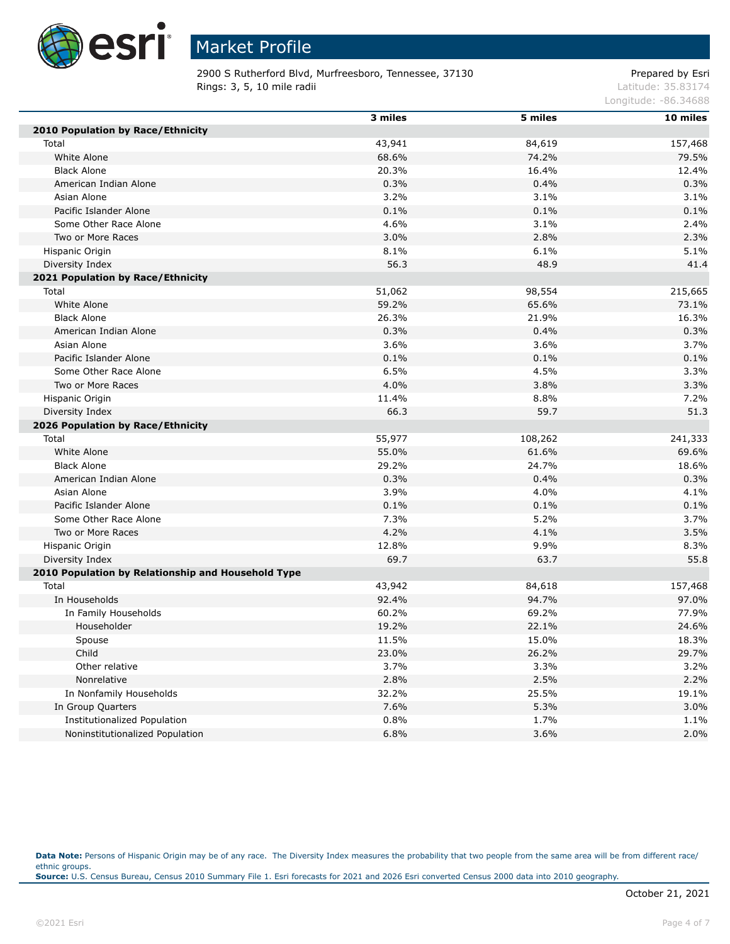

2900 S Rutherford Blvd, Murfreesboro, Tennessee, 37130 Prepared by Esri **Rings: 3, 5, 10 mile radii** Latitude: 35.83174

Longitude: -86.34688

|                                                    | 3 miles | 5 miles | 10 miles |
|----------------------------------------------------|---------|---------|----------|
| 2010 Population by Race/Ethnicity                  |         |         |          |
| Total                                              | 43,941  | 84,619  | 157,468  |
| White Alone                                        | 68.6%   | 74.2%   | 79.5%    |
| <b>Black Alone</b>                                 | 20.3%   | 16.4%   | 12.4%    |
| American Indian Alone                              | 0.3%    | 0.4%    | 0.3%     |
| Asian Alone                                        | 3.2%    | 3.1%    | 3.1%     |
| Pacific Islander Alone                             | 0.1%    | 0.1%    | 0.1%     |
| Some Other Race Alone                              | 4.6%    | 3.1%    | 2.4%     |
| Two or More Races                                  | 3.0%    | 2.8%    | 2.3%     |
| Hispanic Origin                                    | 8.1%    | 6.1%    | 5.1%     |
| Diversity Index                                    | 56.3    | 48.9    | 41.4     |
| 2021 Population by Race/Ethnicity                  |         |         |          |
| Total                                              | 51,062  | 98,554  | 215,665  |
| White Alone                                        | 59.2%   | 65.6%   | 73.1%    |
| <b>Black Alone</b>                                 | 26.3%   | 21.9%   | 16.3%    |
| American Indian Alone                              | 0.3%    | 0.4%    | 0.3%     |
| Asian Alone                                        | 3.6%    | 3.6%    | 3.7%     |
| Pacific Islander Alone                             | 0.1%    | 0.1%    | 0.1%     |
| Some Other Race Alone                              | 6.5%    | 4.5%    | 3.3%     |
| Two or More Races                                  | 4.0%    | 3.8%    | 3.3%     |
| Hispanic Origin                                    | 11.4%   | 8.8%    | 7.2%     |
| Diversity Index                                    | 66.3    | 59.7    | 51.3     |
| 2026 Population by Race/Ethnicity                  |         |         |          |
| Total                                              | 55,977  | 108,262 | 241,333  |
| White Alone                                        | 55.0%   | 61.6%   | 69.6%    |
| <b>Black Alone</b>                                 | 29.2%   | 24.7%   | 18.6%    |
| American Indian Alone                              | 0.3%    | 0.4%    | 0.3%     |
| Asian Alone                                        | 3.9%    | 4.0%    | 4.1%     |
| Pacific Islander Alone                             | 0.1%    | 0.1%    | 0.1%     |
| Some Other Race Alone                              | 7.3%    | 5.2%    | 3.7%     |
| Two or More Races                                  | 4.2%    | 4.1%    | 3.5%     |
| Hispanic Origin                                    | 12.8%   | 9.9%    | 8.3%     |
| Diversity Index                                    | 69.7    | 63.7    | 55.8     |
| 2010 Population by Relationship and Household Type |         |         |          |
| Total                                              | 43,942  | 84,618  | 157,468  |
| In Households                                      | 92.4%   | 94.7%   | 97.0%    |
| In Family Households                               | 60.2%   | 69.2%   | 77.9%    |
| Householder                                        | 19.2%   | 22.1%   | 24.6%    |
| Spouse                                             | 11.5%   | 15.0%   | 18.3%    |
| Child                                              | 23.0%   | 26.2%   | 29.7%    |
| Other relative                                     | 3.7%    | 3.3%    | 3.2%     |
| Nonrelative                                        | 2.8%    | 2.5%    | 2.2%     |
| In Nonfamily Households                            | 32.2%   | 25.5%   | 19.1%    |
| In Group Quarters                                  | 7.6%    | 5.3%    | 3.0%     |
| Institutionalized Population                       | 0.8%    | 1.7%    | 1.1%     |
| Noninstitutionalized Population                    | 6.8%    | 3.6%    | 2.0%     |

Data Note: Persons of Hispanic Origin may be of any race. The Diversity Index measures the probability that two people from the same area will be from different race/ ethnic groups. **Source:** U.S. Census Bureau, Census 2010 Summary File 1. Esri forecasts for 2021 and 2026 Esri converted Census 2000 data into 2010 geography.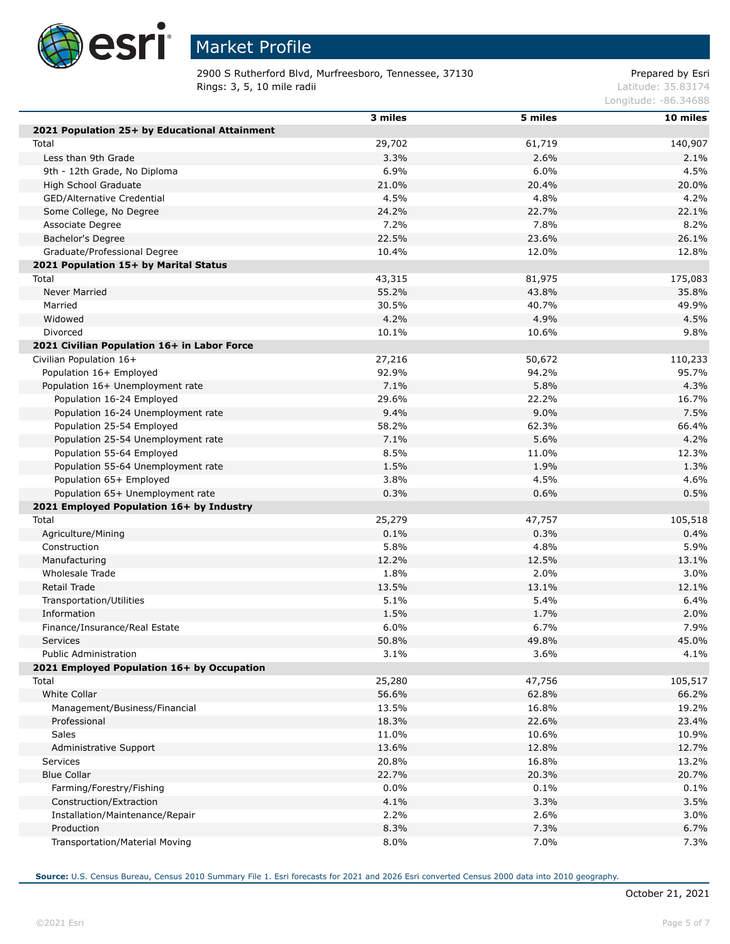

# Market Profile

2900 S Rutherford Blvd, Murfreesboro, Tennessee, 37130 Prepared by Esri **Rings: 3, 5, 10 mile radii** Latitude: 35.83174

Longitude: -86.34688

|                                               | 3 miles | 5 miles | 10 miles |
|-----------------------------------------------|---------|---------|----------|
| 2021 Population 25+ by Educational Attainment |         |         |          |
| Total                                         | 29,702  | 61,719  | 140,907  |
| Less than 9th Grade                           | 3.3%    | 2.6%    | 2.1%     |
| 9th - 12th Grade, No Diploma                  | 6.9%    | 6.0%    | 4.5%     |
| High School Graduate                          | 21.0%   | 20.4%   | 20.0%    |
| GED/Alternative Credential                    | 4.5%    | 4.8%    | 4.2%     |
| Some College, No Degree                       | 24.2%   | 22.7%   | 22.1%    |
| Associate Degree                              | 7.2%    | 7.8%    | 8.2%     |
| Bachelor's Degree                             | 22.5%   | 23.6%   | 26.1%    |
| Graduate/Professional Degree                  | 10.4%   | 12.0%   | 12.8%    |
| 2021 Population 15+ by Marital Status         |         |         |          |
| Total                                         | 43,315  | 81,975  | 175,083  |
| <b>Never Married</b>                          | 55.2%   | 43.8%   | 35.8%    |
| Married                                       | 30.5%   | 40.7%   | 49.9%    |
| Widowed                                       | 4.2%    | 4.9%    | 4.5%     |
| Divorced                                      | 10.1%   | 10.6%   | 9.8%     |
| 2021 Civilian Population 16+ in Labor Force   |         |         |          |
| Civilian Population 16+                       | 27,216  | 50,672  | 110,233  |
| Population 16+ Employed                       | 92.9%   | 94.2%   | 95.7%    |
| Population 16+ Unemployment rate              | 7.1%    | 5.8%    | 4.3%     |
| Population 16-24 Employed                     | 29.6%   | 22.2%   | 16.7%    |
| Population 16-24 Unemployment rate            | 9.4%    | 9.0%    | 7.5%     |
| Population 25-54 Employed                     | 58.2%   | 62.3%   | 66.4%    |
| Population 25-54 Unemployment rate            | 7.1%    | 5.6%    | 4.2%     |
| Population 55-64 Employed                     | 8.5%    | 11.0%   | 12.3%    |
| Population 55-64 Unemployment rate            | 1.5%    | 1.9%    | 1.3%     |
| Population 65+ Employed                       | 3.8%    | 4.5%    | 4.6%     |
| Population 65+ Unemployment rate              | 0.3%    | 0.6%    | 0.5%     |
| 2021 Employed Population 16+ by Industry      |         |         |          |
| Total                                         | 25,279  | 47,757  | 105,518  |
| Agriculture/Mining                            | 0.1%    | 0.3%    | 0.4%     |
| Construction                                  | 5.8%    | 4.8%    | 5.9%     |
| Manufacturing                                 | 12.2%   | 12.5%   | 13.1%    |
| Wholesale Trade                               | 1.8%    | 2.0%    | 3.0%     |
| Retail Trade                                  | 13.5%   | 13.1%   | 12.1%    |
| Transportation/Utilities                      | 5.1%    | 5.4%    | 6.4%     |
| Information                                   | 1.5%    | 1.7%    | 2.0%     |
| Finance/Insurance/Real Estate                 | 6.0%    | 6.7%    | 7.9%     |
| <b>Services</b>                               | 50.8%   | 49.8%   | 45.0%    |
| Public Administration                         | 3.1%    | 3.6%    | 4.1%     |
| 2021 Employed Population 16+ by Occupation    |         |         |          |
| Total                                         | 25,280  | 47,756  | 105,517  |
| White Collar                                  | 56.6%   | 62.8%   | 66.2%    |
| Management/Business/Financial                 | 13.5%   | 16.8%   | 19.2%    |
| Professional                                  | 18.3%   | 22.6%   | 23.4%    |
| Sales                                         | 11.0%   | 10.6%   | 10.9%    |
| Administrative Support                        | 13.6%   | 12.8%   | 12.7%    |
| Services                                      | 20.8%   | 16.8%   | 13.2%    |
| <b>Blue Collar</b>                            | 22.7%   | 20.3%   | 20.7%    |
| Farming/Forestry/Fishing                      | $0.0\%$ | 0.1%    | 0.1%     |
| Construction/Extraction                       | 4.1%    | 3.3%    | 3.5%     |
| Installation/Maintenance/Repair               | 2.2%    | 2.6%    | 3.0%     |
| Production                                    | 8.3%    | 7.3%    | 6.7%     |
| Transportation/Material Moving                | 8.0%    | 7.0%    | 7.3%     |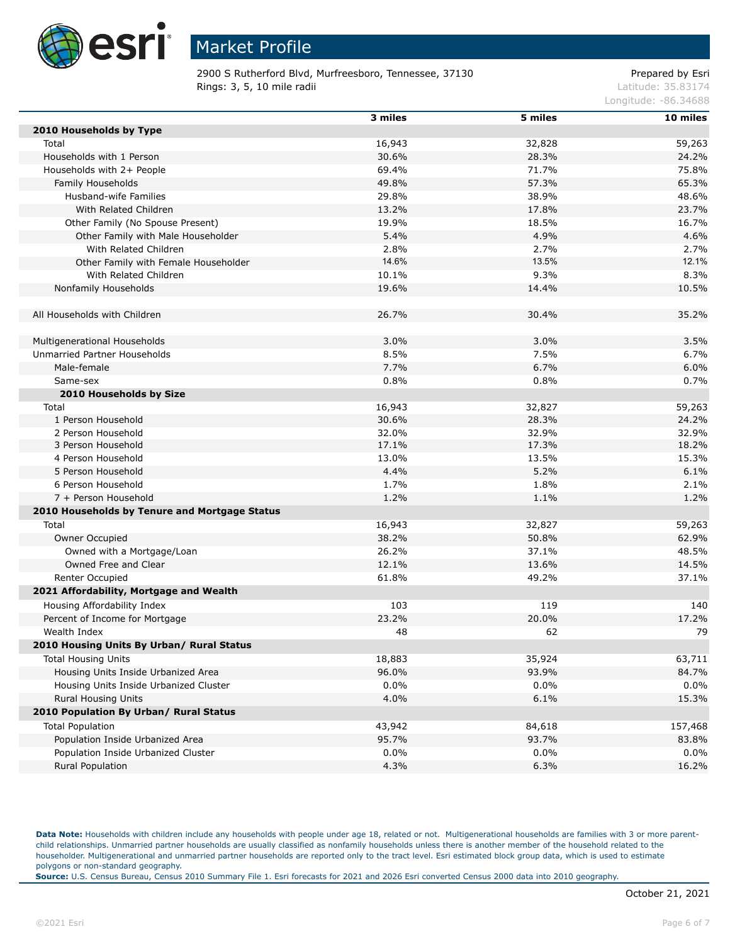

2900 S Rutherford Blvd, Murfreesboro, Tennessee, 37130 Prepared by Esri **Rings: 3, 5, 10 mile radii** Latitude: 35.83174

Longitude: -86.34688

|                                               | 3 miles | 5 miles | 10 miles |
|-----------------------------------------------|---------|---------|----------|
| 2010 Households by Type                       |         |         |          |
| Total                                         | 16,943  | 32,828  | 59,263   |
| Households with 1 Person                      | 30.6%   | 28.3%   | 24.2%    |
| Households with 2+ People                     | 69.4%   | 71.7%   | 75.8%    |
| Family Households                             | 49.8%   | 57.3%   | 65.3%    |
| Husband-wife Families                         | 29.8%   | 38.9%   | 48.6%    |
| With Related Children                         | 13.2%   | 17.8%   | 23.7%    |
| Other Family (No Spouse Present)              | 19.9%   | 18.5%   | 16.7%    |
| Other Family with Male Householder            | 5.4%    | 4.9%    | 4.6%     |
| With Related Children                         | 2.8%    | 2.7%    | 2.7%     |
| Other Family with Female Householder          | 14.6%   | 13.5%   | 12.1%    |
| With Related Children                         | 10.1%   | 9.3%    | 8.3%     |
| Nonfamily Households                          | 19.6%   | 14.4%   | 10.5%    |
|                                               |         |         |          |
| All Households with Children                  | 26.7%   | 30.4%   | 35.2%    |
|                                               |         |         |          |
| Multigenerational Households                  | 3.0%    | 3.0%    | 3.5%     |
| Unmarried Partner Households                  | 8.5%    | 7.5%    | 6.7%     |
| Male-female                                   | 7.7%    | 6.7%    | 6.0%     |
| Same-sex                                      | 0.8%    | 0.8%    | 0.7%     |
| 2010 Households by Size                       |         |         |          |
| Total                                         | 16,943  | 32,827  | 59,263   |
| 1 Person Household                            | 30.6%   | 28.3%   | 24.2%    |
| 2 Person Household                            | 32.0%   | 32.9%   | 32.9%    |
| 3 Person Household                            | 17.1%   | 17.3%   | 18.2%    |
| 4 Person Household                            | 13.0%   | 13.5%   | 15.3%    |
| 5 Person Household                            | 4.4%    | 5.2%    | 6.1%     |
| 6 Person Household                            | 1.7%    | 1.8%    | 2.1%     |
| 7 + Person Household                          | 1.2%    | 1.1%    | 1.2%     |
| 2010 Households by Tenure and Mortgage Status |         |         |          |
| Total                                         | 16,943  | 32,827  | 59,263   |
| Owner Occupied                                | 38.2%   | 50.8%   | 62.9%    |
| Owned with a Mortgage/Loan                    | 26.2%   | 37.1%   | 48.5%    |
| Owned Free and Clear                          | 12.1%   | 13.6%   | 14.5%    |
| Renter Occupied                               | 61.8%   | 49.2%   | 37.1%    |
| 2021 Affordability, Mortgage and Wealth       |         |         |          |
| Housing Affordability Index                   | 103     | 119     | 140      |
| Percent of Income for Mortgage                | 23.2%   | 20.0%   | 17.2%    |
| Wealth Index                                  | 48      | 62      | 79       |
| 2010 Housing Units By Urban/ Rural Status     |         |         |          |
| <b>Total Housing Units</b>                    | 18,883  | 35,924  | 63,711   |
| Housing Units Inside Urbanized Area           | 96.0%   | 93.9%   | 84.7%    |
| Housing Units Inside Urbanized Cluster        | 0.0%    | $0.0\%$ | 0.0%     |
| <b>Rural Housing Units</b>                    | 4.0%    | 6.1%    | 15.3%    |
| 2010 Population By Urban/ Rural Status        |         |         |          |
| <b>Total Population</b>                       | 43,942  | 84,618  | 157,468  |
| Population Inside Urbanized Area              | 95.7%   | 93.7%   | 83.8%    |
| Population Inside Urbanized Cluster           | 0.0%    | $0.0\%$ | 0.0%     |
| Rural Population                              | 4.3%    | 6.3%    | 16.2%    |

Data Note: Households with children include any households with people under age 18, related or not. Multigenerational households are families with 3 or more parentchild relationships. Unmarried partner households are usually classified as nonfamily households unless there is another member of the household related to the householder. Multigenerational and unmarried partner households are reported only to the tract level. Esri estimated block group data, which is used to estimate polygons or non-standard geography.